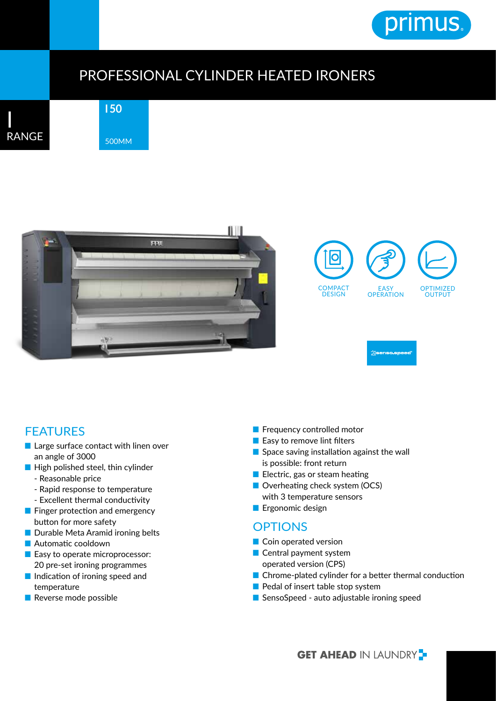

## PROFESSIONAL CYLINDER HEATED IRONERS







## FEATURES

- Large surface contact with linen over an angle of 3000
- High polished steel, thin cylinder
	- Reasonable price
	- Rapid response to temperature
	- Excellent thermal conductivity
- Finger protection and emergency button for more safety
- Durable Meta Aramid ironing belts
- Automatic cooldown
- Easy to operate microprocessor: 20 pre-set ironing programmes
- Indication of ironing speed and temperature
- Reverse mode possible
- Frequency controlled motor
- Easy to remove lint filters
- Space saving installation against the wall is possible: front return
- Electric, gas or steam heating
- Overheating check system (OCS) with 3 temperature sensors
- Ergonomic design

## **OPTIONS**

- Coin operated version
- Central payment system operated version (CPS)
- Chrome-plated cylinder for a better thermal conduction
- Pedal of insert table stop system
- SensoSpeed auto adjustable ironing speed

**GET AHEAD IN LAUNDRY**